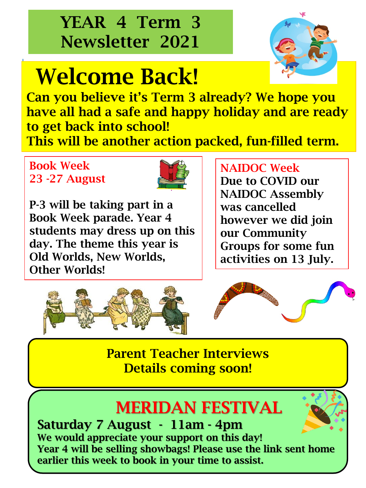# YEAR 4 Term 3 Newsletter 2021

# Welcome Back!



Can you believe it's Term 3 already? We hope you have all had a safe and happy holiday and are ready to get back into school! This will be another action packed, fun-filled term.

### Book Week 23 -27 August



P-3 will be taking part in a Book Week parade. Year 4 students may dress up on this day. The theme this year is Old Worlds, New Worlds, Other Worlds!

#### NAIDOC Week

Due to COVID our NAIDOC Assembly was cancelled however we did join our Community Groups for some fun activities on 13 July.



Parent Teacher Interviews Details coming soon!

# MERIDAN FESTIVAL



Saturday 7 August - 11am - 4pm We would appreciate your support on this day! Year 4 will be selling showbags! Please use the link sent home earlier this week to book in your time to assist.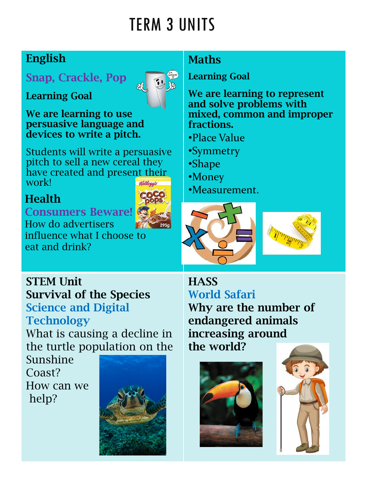# TERM 3 UNITS

## English

Learning Goal

## Snap, Crackle, Pop



We are learning to use persuasive language and devices to write a pitch.

Students will write a persuasive pitch to sell a new cereal they have created and present their work!

### Health

#### Consumers Beware!

How do advertisers influence what I choose to eat and drink?

### **Maths**

Learning Goal

We are learning to represent and solve problems with mixed, common and improper fractions.

- •Place Value
- •Symmetry
- •Shape
- •Money
- •Measurement.





STEM Unit Survival of the Species Science and Digital **Technology** 

What is causing a decline in the turtle population on the

Sunshine Coast? How can we help?



**HASS** World Safari Why are the number of endangered animals increasing around the world?